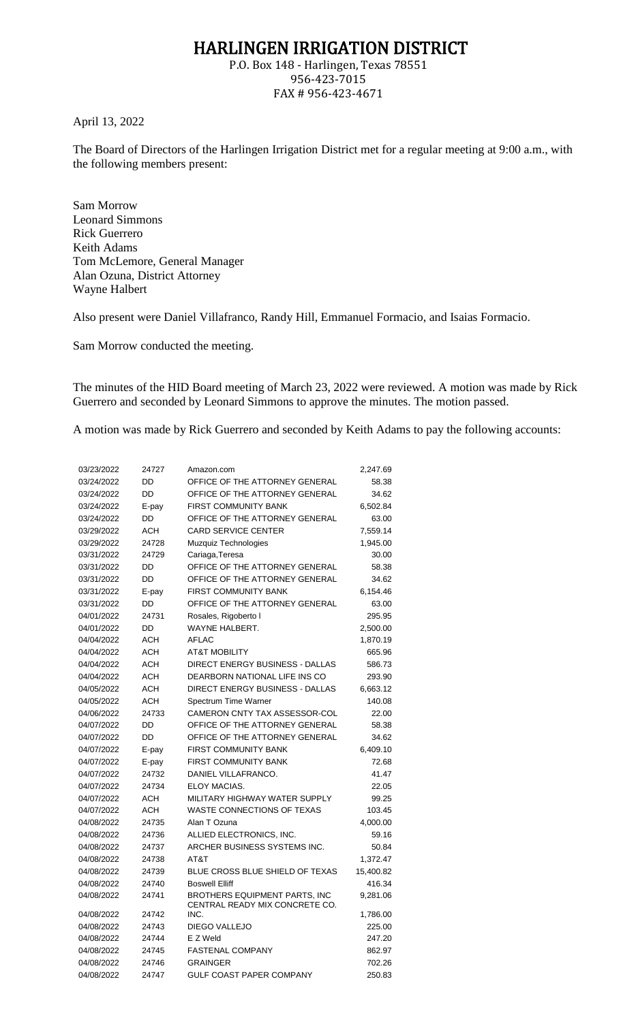## HARLINGEN IRRIGATION DISTRICT

P.O. Box 148 - Harlingen, Texas 78551 956-423-7015 FAX # 956-423-4671

April 13, 2022

The Board of Directors of the Harlingen Irrigation District met for a regular meeting at 9:00 a.m., with the following members present:

Sam Morrow Leonard Simmons Rick Guerrero Keith Adams Tom McLemore, General Manager Alan Ozuna, District Attorney Wayne Halbert

Also present were Daniel Villafranco, Randy Hill, Emmanuel Formacio, and Isaias Formacio.

Sam Morrow conducted the meeting.

The minutes of the HID Board meeting of March 23, 2022 were reviewed. A motion was made by Rick Guerrero and seconded by Leonard Simmons to approve the minutes. The motion passed.

A motion was made by Rick Guerrero and seconded by Keith Adams to pay the following accounts:

| 03/23/2022 | 24727      | Amazon.com                                                             | 2,247.69  |
|------------|------------|------------------------------------------------------------------------|-----------|
| 03/24/2022 | DD         | OFFICE OF THE ATTORNEY GENERAL                                         | 58.38     |
| 03/24/2022 | <b>DD</b>  | OFFICE OF THE ATTORNEY GENERAL                                         | 34.62     |
| 03/24/2022 | E-pay      | FIRST COMMUNITY BANK                                                   | 6,502.84  |
| 03/24/2022 | DD         | OFFICE OF THE ATTORNEY GENERAL                                         | 63.00     |
| 03/29/2022 | <b>ACH</b> | <b>CARD SERVICE CENTER</b>                                             | 7,559.14  |
| 03/29/2022 | 24728      | Muzquiz Technologies                                                   | 1,945.00  |
| 03/31/2022 | 24729      | Cariaga, Teresa                                                        | 30.00     |
| 03/31/2022 | DD         | OFFICE OF THE ATTORNEY GENERAL                                         | 58.38     |
| 03/31/2022 | DD         | OFFICE OF THE ATTORNEY GENERAL                                         | 34.62     |
| 03/31/2022 | E-pay      | <b>FIRST COMMUNITY BANK</b>                                            | 6,154.46  |
| 03/31/2022 | DD         | OFFICE OF THE ATTORNEY GENERAL                                         | 63.00     |
| 04/01/2022 | 24731      | Rosales, Rigoberto I                                                   | 295.95    |
| 04/01/2022 | DD         | WAYNE HALBERT.                                                         | 2,500.00  |
| 04/04/2022 | <b>ACH</b> | <b>AFLAC</b>                                                           | 1,870.19  |
| 04/04/2022 | <b>ACH</b> | <b>AT&amp;T MOBILITY</b>                                               | 665.96    |
| 04/04/2022 | <b>ACH</b> | DIRECT ENERGY BUSINESS - DALLAS                                        | 586.73    |
| 04/04/2022 | <b>ACH</b> | DEARBORN NATIONAL LIFE INS CO                                          | 293.90    |
| 04/05/2022 | <b>ACH</b> | DIRECT ENERGY BUSINESS - DALLAS                                        | 6,663.12  |
| 04/05/2022 | <b>ACH</b> | Spectrum Time Warner                                                   | 140.08    |
| 04/06/2022 | 24733      | CAMERON CNTY TAX ASSESSOR-COL                                          | 22.00     |
| 04/07/2022 | DD         | OFFICE OF THE ATTORNEY GENERAL                                         | 58.38     |
| 04/07/2022 | DD         | OFFICE OF THE ATTORNEY GENERAL                                         | 34.62     |
| 04/07/2022 | E-pay      | <b>FIRST COMMUNITY BANK</b>                                            | 6,409.10  |
| 04/07/2022 | E-pay      | <b>FIRST COMMUNITY BANK</b>                                            | 72.68     |
| 04/07/2022 | 24732      | DANIEL VILLAFRANCO.                                                    | 41.47     |
| 04/07/2022 | 24734      | ELOY MACIAS.                                                           | 22.05     |
| 04/07/2022 | <b>ACH</b> | MILITARY HIGHWAY WATER SUPPLY                                          | 99.25     |
| 04/07/2022 | <b>ACH</b> | <b>WASTE CONNECTIONS OF TEXAS</b>                                      | 103.45    |
| 04/08/2022 | 24735      | Alan T Ozuna                                                           | 4,000.00  |
| 04/08/2022 | 24736      | ALLIED ELECTRONICS, INC.                                               | 59.16     |
| 04/08/2022 | 24737      | ARCHER BUSINESS SYSTEMS INC.                                           | 50.84     |
| 04/08/2022 | 24738      | AT&T                                                                   | 1,372.47  |
| 04/08/2022 | 24739      | BLUE CROSS BLUE SHIELD OF TEXAS                                        | 15,400.82 |
| 04/08/2022 | 24740      | <b>Boswell Elliff</b>                                                  | 416.34    |
| 04/08/2022 | 24741      | <b>BROTHERS EQUIPMENT PARTS. INC</b><br>CENTRAL READY MIX CONCRETE CO. | 9,281.06  |
| 04/08/2022 | 24742      | INC.                                                                   | 1,786.00  |
| 04/08/2022 | 24743      | <b>DIEGO VALLEJO</b>                                                   | 225.00    |
| 04/08/2022 | 24744      | E Z Weld                                                               | 247.20    |
| 04/08/2022 | 24745      | <b>FASTENAL COMPANY</b>                                                | 862.97    |
| 04/08/2022 | 24746      | <b>GRAINGER</b>                                                        | 702.26    |
| 04/08/2022 | 24747      | GULF COAST PAPER COMPANY                                               | 250.83    |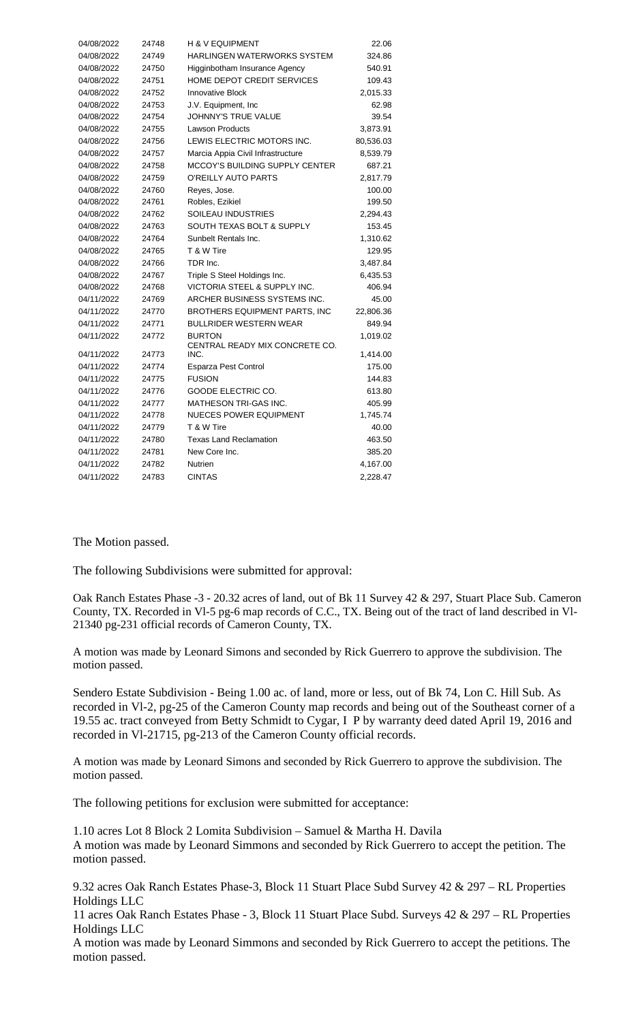| 04/08/2022 | 24748 | <b>H &amp; V EQUIPMENT</b>              | 22.06     |
|------------|-------|-----------------------------------------|-----------|
| 04/08/2022 | 24749 | HARLINGEN WATERWORKS SYSTEM             | 324.86    |
| 04/08/2022 | 24750 | Higginbotham Insurance Agency           | 540.91    |
| 04/08/2022 | 24751 | HOME DEPOT CREDIT SERVICES              | 109.43    |
| 04/08/2022 | 24752 | <b>Innovative Block</b>                 | 2,015.33  |
| 04/08/2022 | 24753 | J.V. Equipment, Inc.                    | 62.98     |
| 04/08/2022 | 24754 | JOHNNY'S TRUE VALUE                     | 39.54     |
| 04/08/2022 | 24755 | <b>Lawson Products</b>                  | 3,873.91  |
| 04/08/2022 | 24756 | LEWIS ELECTRIC MOTORS INC.              | 80,536.03 |
| 04/08/2022 | 24757 | Marcia Appia Civil Infrastructure       | 8,539.79  |
| 04/08/2022 | 24758 | MCCOY'S BUILDING SUPPLY CENTER          | 687.21    |
| 04/08/2022 | 24759 | O'REILLY AUTO PARTS                     | 2,817.79  |
| 04/08/2022 | 24760 | Reyes, Jose.                            | 100.00    |
| 04/08/2022 | 24761 | Robles, Ezikiel                         | 199.50    |
| 04/08/2022 | 24762 | SOILEAU INDUSTRIES                      | 2,294.43  |
| 04/08/2022 | 24763 | SOUTH TEXAS BOLT & SUPPLY               | 153.45    |
| 04/08/2022 | 24764 | Sunbelt Rentals Inc.                    | 1,310.62  |
| 04/08/2022 | 24765 | T & W Tire                              | 129.95    |
| 04/08/2022 | 24766 | TDR Inc.                                | 3,487.84  |
| 04/08/2022 | 24767 | Triple S Steel Holdings Inc.            | 6,435.53  |
| 04/08/2022 | 24768 | <b>VICTORIA STEEL &amp; SUPPLY INC.</b> | 406.94    |
| 04/11/2022 | 24769 | ARCHER BUSINESS SYSTEMS INC.            | 45.00     |
| 04/11/2022 | 24770 | <b>BROTHERS EQUIPMENT PARTS, INC</b>    | 22,806.36 |
| 04/11/2022 | 24771 | <b>BULLRIDER WESTERN WEAR</b>           | 849.94    |
| 04/11/2022 | 24772 | <b>BURTON</b>                           | 1,019.02  |
| 04/11/2022 | 24773 | CENTRAL READY MIX CONCRETE CO.<br>INC.  | 1,414.00  |
| 04/11/2022 | 24774 | Esparza Pest Control                    | 175.00    |
| 04/11/2022 | 24775 | <b>FUSION</b>                           | 144.83    |
| 04/11/2022 | 24776 | <b>GOODE ELECTRIC CO.</b>               | 613.80    |
| 04/11/2022 | 24777 | <b>MATHESON TRI-GAS INC.</b>            | 405.99    |
| 04/11/2022 | 24778 | <b>NUECES POWER EQUIPMENT</b>           | 1,745.74  |
| 04/11/2022 | 24779 | T & W Tire                              | 40.00     |
| 04/11/2022 | 24780 | <b>Texas Land Reclamation</b>           | 463.50    |
| 04/11/2022 | 24781 | New Core Inc.                           | 385.20    |
| 04/11/2022 | 24782 | <b>Nutrien</b>                          | 4,167.00  |
| 04/11/2022 | 24783 | <b>CINTAS</b>                           | 2,228.47  |

## The Motion passed.

The following Subdivisions were submitted for approval:

Oak Ranch Estates Phase -3 - 20.32 acres of land, out of Bk 11 Survey 42 & 297, Stuart Place Sub. Cameron County, TX. Recorded in Vl-5 pg-6 map records of C.C., TX. Being out of the tract of land described in Vl-21340 pg-231 official records of Cameron County, TX.

A motion was made by Leonard Simons and seconded by Rick Guerrero to approve the subdivision. The motion passed.

Sendero Estate Subdivision - Being 1.00 ac. of land, more or less, out of Bk 74, Lon C. Hill Sub. As recorded in Vl-2, pg-25 of the Cameron County map records and being out of the Southeast corner of a 19.55 ac. tract conveyed from Betty Schmidt to Cygar, I P by warranty deed dated April 19, 2016 and recorded in Vl-21715, pg-213 of the Cameron County official records.

A motion was made by Leonard Simons and seconded by Rick Guerrero to approve the subdivision. The motion passed.

The following petitions for exclusion were submitted for acceptance:

1.10 acres Lot 8 Block 2 Lomita Subdivision – Samuel & Martha H. Davila A motion was made by Leonard Simmons and seconded by Rick Guerrero to accept the petition. The motion passed.

9.32 acres Oak Ranch Estates Phase-3, Block 11 Stuart Place Subd Survey 42 & 297 – RL Properties Holdings LLC

11 acres Oak Ranch Estates Phase - 3, Block 11 Stuart Place Subd. Surveys 42 & 297 – RL Properties Holdings LLC

A motion was made by Leonard Simmons and seconded by Rick Guerrero to accept the petitions. The motion passed.